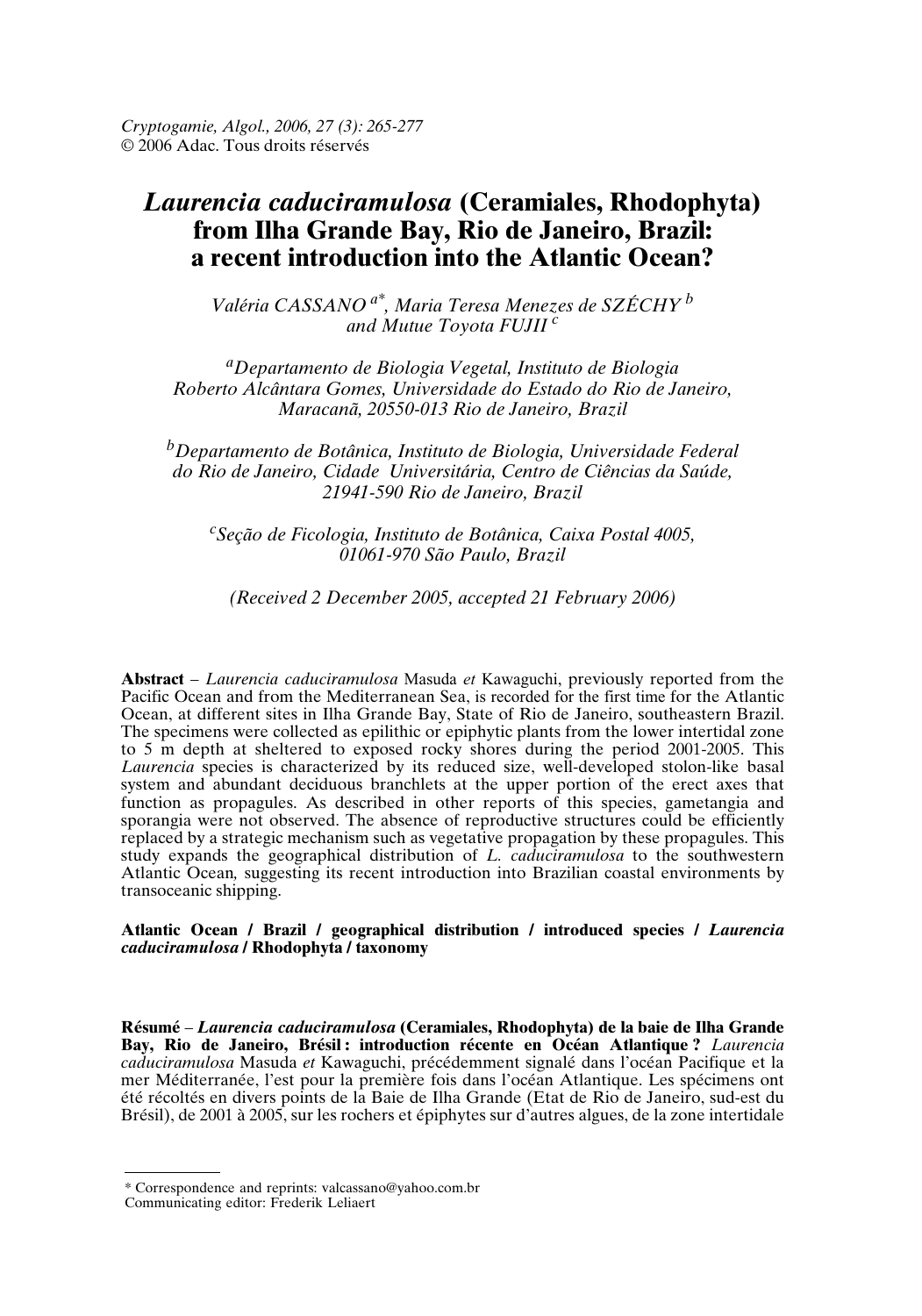*Cryptogamie, Algol., 2006, 27 (3): 265-277* © 2006 Adac. Tous droits réservés

# *Laurencia caduciramulosa* **(Ceramiales, Rhodophyta) from Ilha Grande Bay, Rio de Janeiro, Brazil: a recent introduction into the Atlantic Ocean?**

*Valéria CASSANO a\*, Maria Teresa Menezes de SZÉCHY <sup>b</sup> and Mutue Toyota FUJII <sup>c</sup>*

*<sup>a</sup>Departamento de Biologia Vegetal, Instituto de Biologia Roberto Alcântara Gomes, Universidade do Estado do Rio de Janeiro, Maracanã, 20550-013 Rio de Janeiro, Brazil*

*<sup>b</sup>Departamento de Botânica, Instituto de Biologia, Universidade Federal do Rio de Janeiro, Cidade Universitária, Centro de Ciências da Saúde, 21941-590 Rio de Janeiro, Brazil*

*<sup>c</sup>Seção de Ficologia, Instituto de Botânica, Caixa Postal 4005, 01061-970 São Paulo, Brazil*

*(Received 2 December 2005, accepted 21 February 2006)*

**Abstract** – *Laurencia caduciramulosa* Masuda *et* Kawaguchi, previously reported from the Pacific Ocean and from the Mediterranean Sea, is recorded for the first time for the Atlantic Ocean, at different sites in Ilha Grande Bay, State of Rio de Janeiro, southeastern Brazil. The specimens were collected as epilithic or epiphytic plants from the lower intertidal zone to 5 m depth at sheltered to exposed rocky shores during the period 2001-2005. This *Laurencia* species is characterized by its reduced size, well-developed stolon-like basal system and abundant deciduous branchlets at the upper portion of the erect axes that function as propagules. As described in other reports of this species, gametangia and sporangia were not observed. The absence of reproductive structures could be efficiently replaced by a strategic mechanism such as vegetative propagation by these propagules. This study expands the geographical distribution of *L. caduciramulosa* to the southwestern Atlantic Ocean*,* suggesting its recent introduction into Brazilian coastal environments by transoceanic shipping.

**Atlantic Ocean / Brazil / geographical distribution / introduced species /** *Laurencia caduciramulosa* **/ Rhodophyta / taxonomy** 

**Résumé** – *Laurencia caduciramulosa* **(Ceramiales, Rhodophyta) de la baie de Ilha Grande Bay, Rio de Janeiro, Brésil : introduction récente en Océan Atlantique ?** *Laurencia caduciramulosa* Masuda *et* Kawaguchi, précédemment signalé dans l'océan Pacifique et la mer Méditerranée, l'est pour la première fois dans l'océan Atlantique. Les spécimens ont été récoltés en divers points de la Baie de Ilha Grande (Etat de Rio de Janeiro, sud-est du Brésil), de 2001 à 2005, sur les rochers et épiphytes sur d'autres algues, de la zone intertidale

<sup>\*</sup> Correspondence and reprints: valcassano@yahoo.com.br

Communicating editor: Frederik Leliaert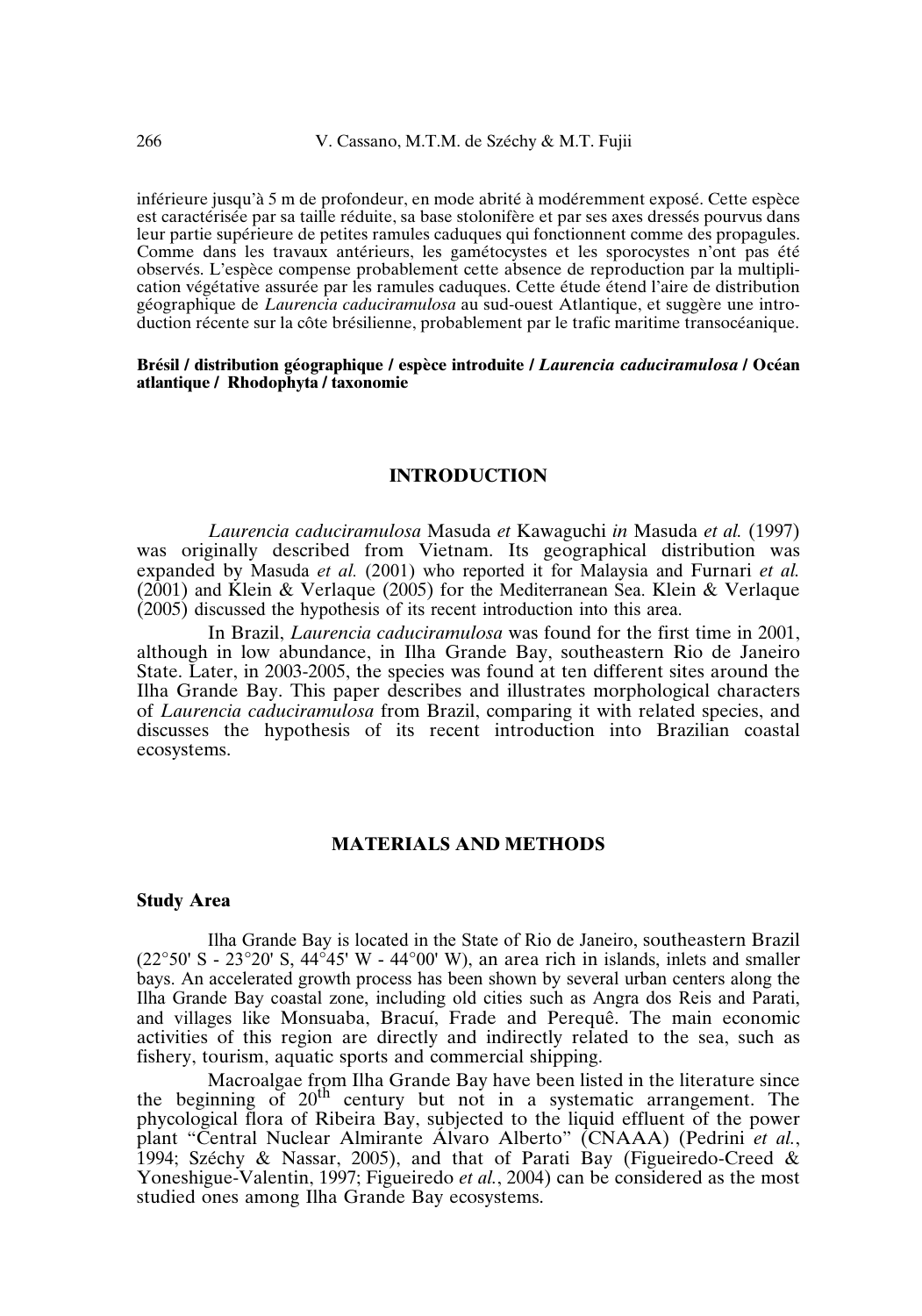inférieure jusqu'à 5 m de profondeur, en mode abrité à modéremment exposé. Cette espèce est caractérisée par sa taille réduite, sa base stolonifère et par ses axes dressés pourvus dans leur partie supérieure de petites ramules caduques qui fonctionnent comme des propagules. Comme dans les travaux antérieurs, les gamétocystes et les sporocystes n'ont pas été observés. L'espèce compense probablement cette absence de reproduction par la multiplication végétative assurée par les ramules caduques. Cette étude étend l'aire de distribution géographique de *Laurencia caduciramulosa* au sud-ouest Atlantique, et suggère une introduction récente sur la côte brésilienne, probablement par le trafic maritime transocéanique.

## **Brésil / distribution géographique / espèce introduite /** *Laurencia caduciramulosa* **/ Océan atlantique / Rhodophyta / taxonomie**

## **INTRODUCTION**

*Laurencia caduciramulosa* Masuda *et* Kawaguchi *in* Masuda *et al.* (1997) was originally described from Vietnam. Its geographical distribution was expanded by Masuda *et al.* (2001) who reported it for Malaysia and Furnari *et al.* (2001) and Klein & Verlaque (2005) for the Mediterranean Sea. Klein & Verlaque (2005) discussed the hypothesis of its recent introduction into this area.

In Brazil, *Laurencia caduciramulosa* was found for the first time in 2001, although in low abundance, in Ilha Grande Bay, southeastern Rio de Janeiro State. Later, in 2003-2005, the species was found at ten different sites around the Ilha Grande Bay. This paper describes and illustrates morphological characters of *Laurencia caduciramulosa* from Brazil, comparing it with related species, and discusses the hypothesis of its recent introduction into Brazilian coastal ecosystems.

# **MATERIALS AND METHODS**

#### **Study Area**

Ilha Grande Bay is located in the State of Rio de Janeiro, southeastern Brazil  $(22^{\circ}50' S - 23^{\circ}20' S, 44^{\circ}45' W - 44^{\circ}00' W)$ , an area rich in islands, inlets and smaller bays. An accelerated growth process has been shown by several urban centers along the Ilha Grande Bay coastal zone, including old cities such as Angra dos Reis and Parati, and villages like Monsuaba, Bracuí, Frade and Perequê. The main economic activities of this region are directly and indirectly related to the sea, such as fishery, tourism, aquatic sports and commercial shipping.

Macroalgae from Ilha Grande Bay have been listed in the literature since the beginning of  $20<sup>th</sup>$  century but not in a systematic arrangement. The phycological flora of Ribeira Bay, subjected to the liquid effluent of the power plant "Central Nuclear Almirante Álvaro Alberto" (CNAAA) (Pedrini *et al.*, 1994; Széchy & Nassar, 2005), and that of Parati Bay (Figueiredo-Creed & Yoneshigue-Valentin, 1997; Figueiredo *et al.*, 2004) can be considered as the most studied ones among Ilha Grande Bay ecosystems.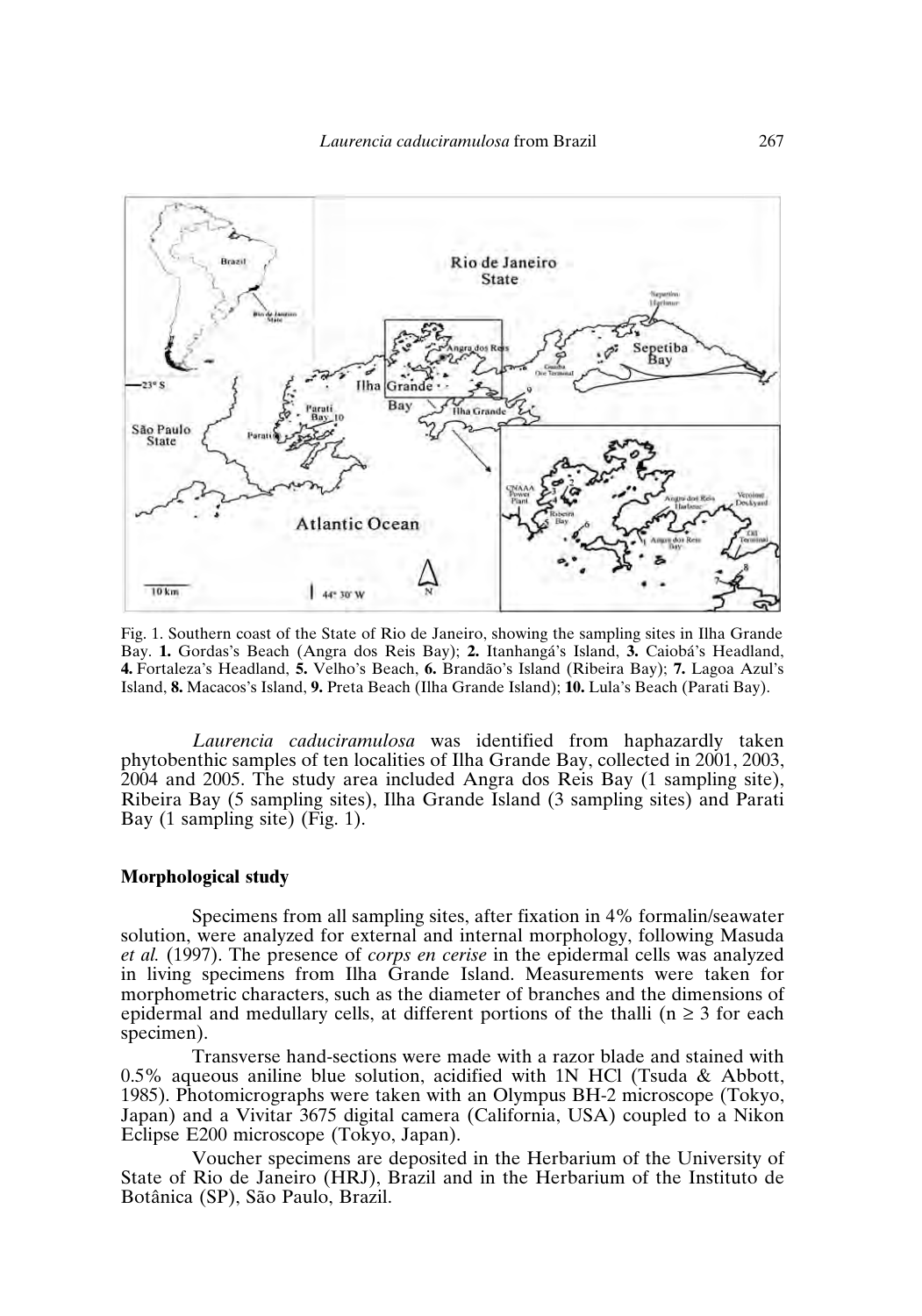

Fig. 1. Southern coast of the State of Rio de Janeiro, showing the sampling sites in Ilha Grande Bay. **1.** Gordas's Beach (Angra dos Reis Bay); **2.** Itanhangá's Island, **3.** Caiobá's Headland, **4.** Fortaleza's Headland, **5.** Velho's Beach, **6.** Brandão's Island (Ribeira Bay); **7.** Lagoa Azul's Island, **8.** Macacos's Island, **9.** Preta Beach (Ilha Grande Island); **10.** Lula's Beach (Parati Bay).

*Laurencia caduciramulosa* was identified from haphazardly taken phytobenthic samples of ten localities of Ilha Grande Bay, collected in 2001, 2003, 2004 and 2005. The study area included Angra dos Reis Bay (1 sampling site), Ribeira Bay (5 sampling sites), Ilha Grande Island (3 sampling sites) and Parati Bay (1 sampling site)  $(Fig. 1)$ .

## **Morphological study**

Specimens from all sampling sites, after fixation in 4% formalin/seawater solution, were analyzed for external and internal morphology, following Masuda *et al.* (1997). The presence of *corps en cerise* in the epidermal cells was analyzed in living specimens from Ilha Grande Island. Measurements were taken for morphometric characters, such as the diameter of branches and the dimensions of epidermal and medullary cells, at different portions of the thalli ( $n \geq 3$  for each specimen).

Transverse hand-sections were made with a razor blade and stained with 0.5% aqueous aniline blue solution, acidified with  $1N$  HCl (Tsuda & Abbott, 1985). Photomicrographs were taken with an Olympus BH-2 microscope (Tokyo, Japan) and a Vivitar 3675 digital camera (California, USA) coupled to a Nikon Eclipse E200 microscope (Tokyo, Japan).

Voucher specimens are deposited in the Herbarium of the University of State of Rio de Janeiro (HRJ), Brazil and in the Herbarium of the Instituto de Botânica (SP), São Paulo, Brazil.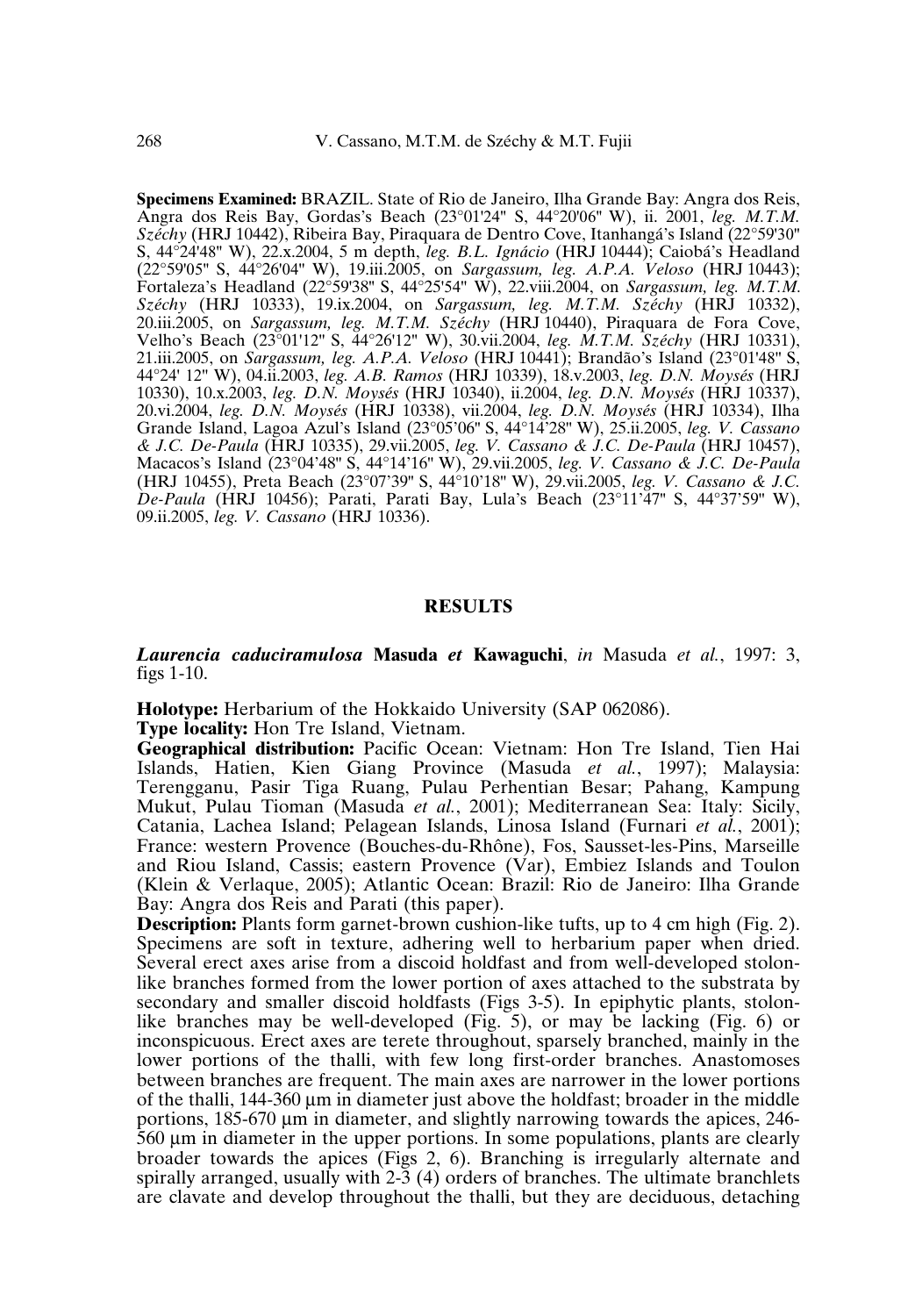**Specimens Examined:** BRAZIL. State of Rio de Janeiro, Ilha Grande Bay: Angra dos Reis, Angra dos Reis Bay, Gordas's Beach (23°01'24'' S, 44°20'06'' W), ii. 2001, *leg. M.T.M. Széchy* (HRJ 10442), Ribeira Bay, Piraquara de Dentro Cove, Itanhangá's Island (22°59'30'' S, 44°24'48'' W), 22.x.2004, 5 m depth, *leg. B.L. Ignácio* (HRJ 10444); Caiobá's Headland (22°59'05'' S, 44°26'04'' W), 19.iii.2005, on *Sargassum, leg. A.P.A. Veloso* (HRJ 10443); Fortaleza's Headland (22°59'38'' S, 44°25'54'' W), 22.viii.2004, on *Sargassum, leg. M.T.M. Széchy* (HRJ 10333), 19.ix.2004, on *Sargassum, leg. M.T.M. Széchy* (HRJ 10332), 20.iii.2005, on *Sargassum, leg. M.T.M. Széchy* (HRJ 10440), Piraquara de Fora Cove, Velho's Beach (23°01'12'' S, 44°26'12'' W), 30.vii.2004, *leg. M.T.M. Széchy* (HRJ 10331), 21.iii.2005, on *Sargassum, leg. A.P.A. Veloso* (HRJ 10441); Brandão's Island (23°01'48'' S, 44°24' 12'' W), 04.ii.2003, *leg. A.B. Ramos* (HRJ 10339), 18.v.2003, *leg. D.N. Moysés* (HRJ 10330), 10.x.2003, *leg. D.N. Moysés* (HRJ 10340), ii.2004, *leg. D.N. Moysés* (HRJ 10337), 20.vi.2004, *leg. D.N. Moysés* (HRJ 10338), vii.2004, *leg. D.N. Moysés* (HRJ 10334), Ilha Grande Island, Lagoa Azul's Island (23°05'06'' S, 44°14'28'' W), 25.ii.2005, *leg. V. Cassano & J.C. De-Paula* (HRJ 10335), 29.vii.2005, *leg. V. Cassano & J.C. De-Paula* (HRJ 10457), Macacos's Island (23°04'48'' S, 44°14'16'' W), 29.vii.2005, *leg. V. Cassano & J.C. De-Paula* (HRJ 10455), Preta Beach (23°07'39'' S, 44°10'18'' W), 29.vii.2005, *leg. V. Cassano & J.C. De-Paula* (HRJ 10456); Parati, Parati Bay, Lula's Beach (23°11'47'' S, 44°37'59'' W), 09.ii.2005, *leg. V. Cassano* (HRJ 10336).

## **RESULTS**

*Laurencia caduciramulosa* **Masuda** *et* **Kawaguchi**, *in* Masuda *et al.*, 1997: 3, figs 1-10.

**Holotype:** Herbarium of the Hokkaido University (SAP 062086).

**Type locality:** Hon Tre Island, Vietnam.

**Geographical distribution:** Pacific Ocean: Vietnam: Hon Tre Island, Tien Hai Islands, Hatien, Kien Giang Province (Masuda *et al.*, 1997); Malaysia: Terengganu, Pasir Tiga Ruang, Pulau Perhentian Besar; Pahang, Kampung Mukut, Pulau Tioman (Masuda *et al.*, 2001); Mediterranean Sea: Italy: Sicily, Catania, Lachea Island; Pelagean Islands, Linosa Island (Furnari *et al.*, 2001); France: western Provence (Bouches-du-Rhône), Fos, Sausset-les-Pins, Marseille and Riou Island, Cassis; eastern Provence (Var), Embiez Islands and Toulon (Klein & Verlaque, 2005); Atlantic Ocean: Brazil: Rio de Janeiro: Ilha Grande Bay: Angra dos Reis and Parati (this paper).

**Description:** Plants form garnet-brown cushion-like tufts, up to 4 cm high (Fig. 2). Specimens are soft in texture, adhering well to herbarium paper when dried. Several erect axes arise from a discoid holdfast and from well-developed stolonlike branches formed from the lower portion of axes attached to the substrata by secondary and smaller discoid holdfasts (Figs 3-5). In epiphytic plants, stolonlike branches may be well-developed (Fig. 5), or may be lacking (Fig. 6) or inconspicuous. Erect axes are terete throughout, sparsely branched, mainly in the lower portions of the thalli, with few long first-order branches. Anastomoses between branches are frequent. The main axes are narrower in the lower portions of the thalli,  $144-360 \mu m$  in diameter just above the holdfast; broader in the middle portions, 185-670 µm in diameter, and slightly narrowing towards the apices, 246- 560 µm in diameter in the upper portions. In some populations, plants are clearly broader towards the apices (Figs 2, 6). Branching is irregularly alternate and spirally arranged, usually with 2-3 (4) orders of branches. The ultimate branchlets are clavate and develop throughout the thalli, but they are deciduous, detaching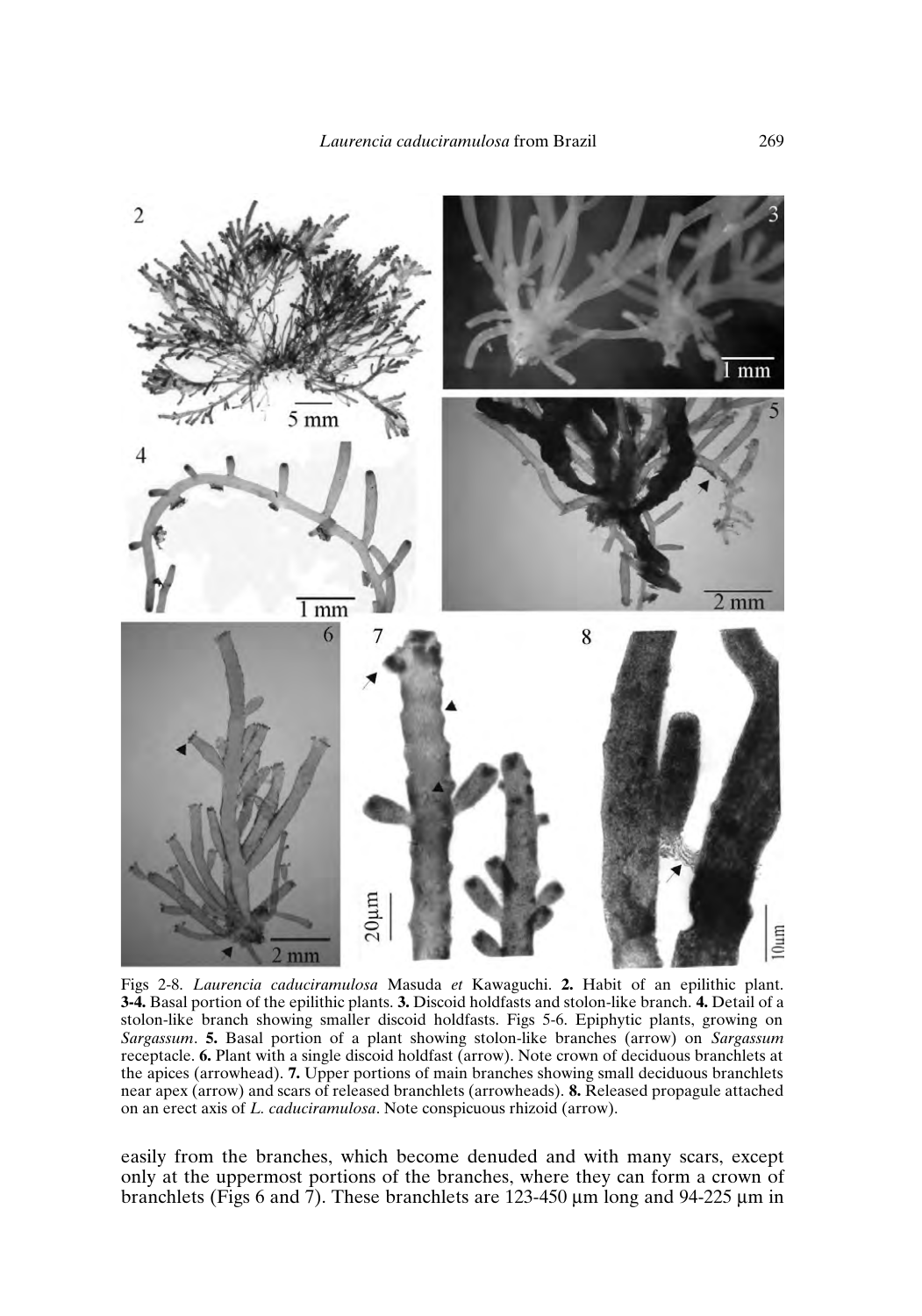

Figs 2-8. *Laurencia caduciramulosa* Masuda *et* Kawaguchi. **2.** Habit of an epilithic plant. **3-4.** Basal portion of the epilithic plants. **3.** Discoid holdfasts and stolon-like branch. **4.** Detail of a stolon-like branch showing smaller discoid holdfasts. Figs 5-6. Epiphytic plants, growing on *Sargassum*. **5.** Basal portion of a plant showing stolon-like branches (arrow) on *Sargassum* receptacle. **6.** Plant with a single discoid holdfast (arrow). Note crown of deciduous branchlets at the apices (arrowhead). **7.** Upper portions of main branches showing small deciduous branchlets near apex (arrow) and scars of released branchlets (arrowheads). **8.** Released propagule attached on an erect axis of *L. caduciramulosa*. Note conspicuous rhizoid (arrow).

easily from the branches, which become denuded and with many scars, except only at the uppermost portions of the branches, where they can form a crown of branchlets (Figs 6 and 7). These branchlets are 123-450  $\mu$ m long and 94-225  $\mu$ m in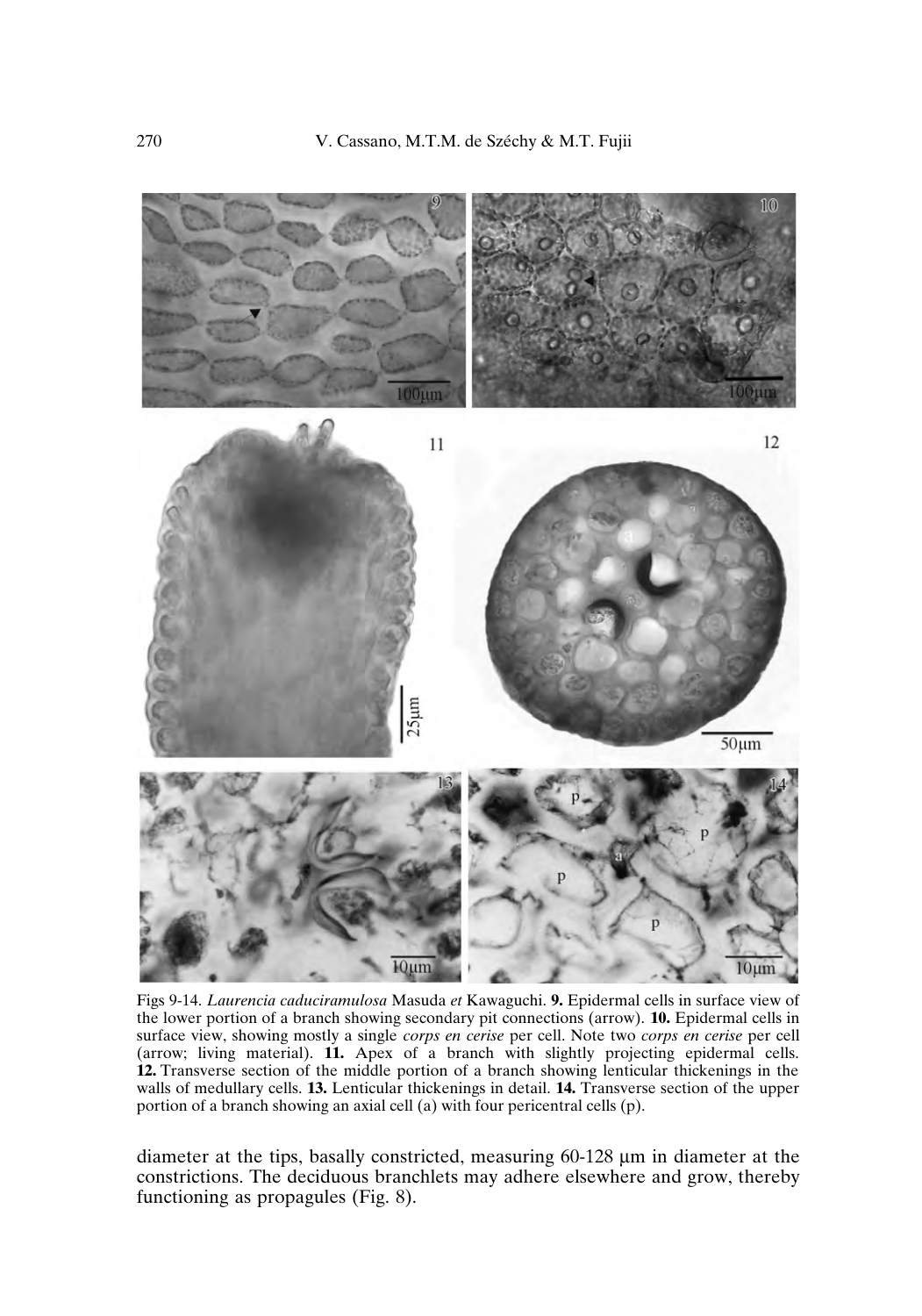

Figs 9-14. *Laurencia caduciramulosa* Masuda *et* Kawaguchi. **9.** Epidermal cells in surface view of the lower portion of a branch showing secondary pit connections (arrow). **10.** Epidermal cells in surface view, showing mostly a single *corps en cerise* per cell. Note two *corps en cerise* per cell (arrow; living material). **11.** Apex of a branch with slightly projecting epidermal cells. **12.** Transverse section of the middle portion of a branch showing lenticular thickenings in the walls of medullary cells. **13.** Lenticular thickenings in detail. **14.** Transverse section of the upper portion of a branch showing an axial cell (a) with four pericentral cells (p).

diameter at the tips, basally constricted, measuring 60-128 µm in diameter at the constrictions. The deciduous branchlets may adhere elsewhere and grow, thereby functioning as propagules (Fig. 8).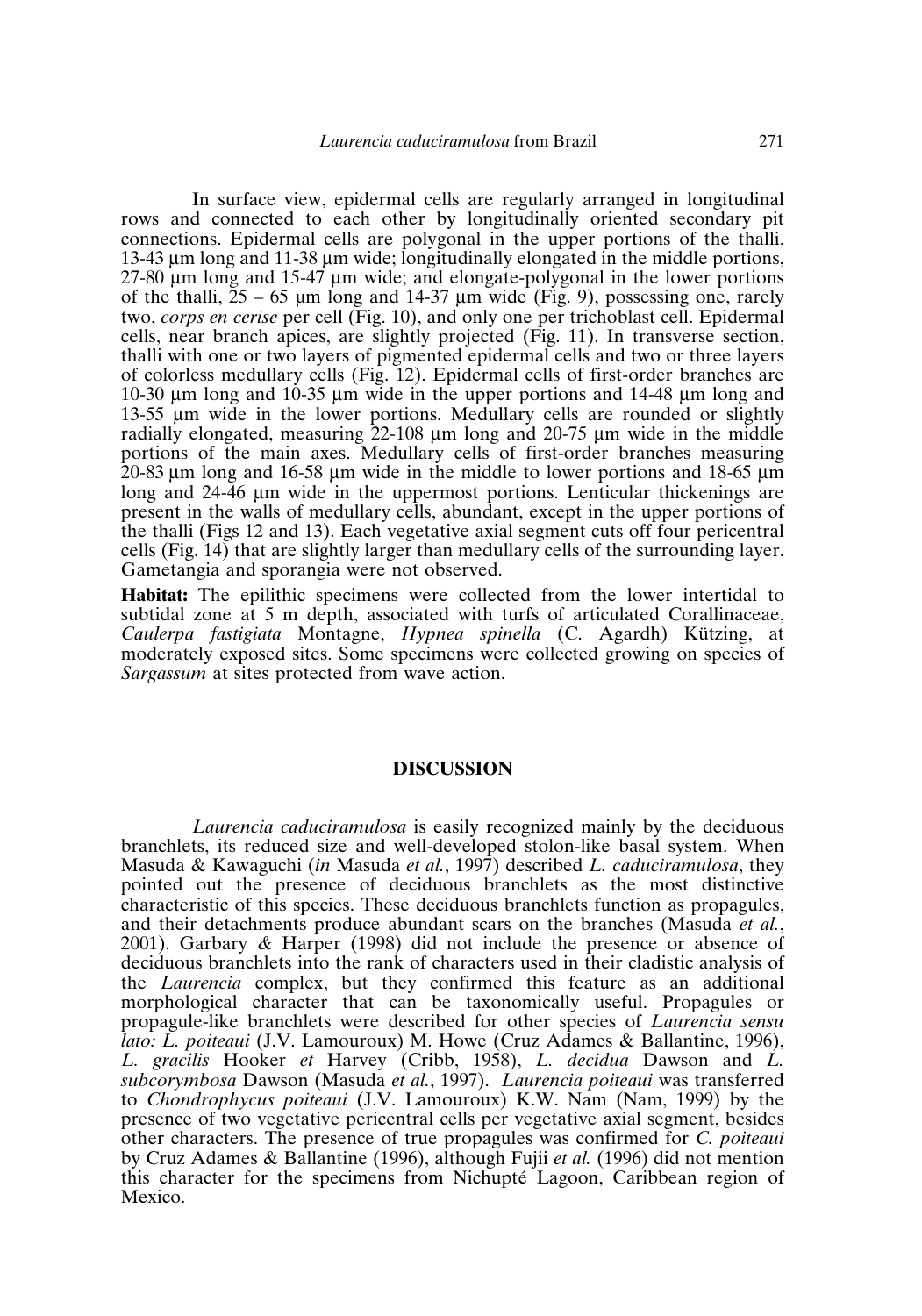In surface view, epidermal cells are regularly arranged in longitudinal rows and connected to each other by longitudinally oriented secondary pit connections. Epidermal cells are polygonal in the upper portions of the thalli, 13-43 µm long and 11-38 µm wide; longitudinally elongated in the middle portions, 27-80 µm long and 15-47 µm wide; and elongate-polygonal in the lower portions of the thalli,  $25 - 65$  µm long and 14-37 µm wide (Fig. 9), possessing one, rarely two, *corps en cerise* per cell (Fig. 10), and only one per trichoblast cell. Epidermal cells, near branch apices, are slightly projected (Fig. 11). In transverse section, thalli with one or two layers of pigmented epidermal cells and two or three layers of colorless medullary cells (Fig. 12). Epidermal cells of first-order branches are 10-30 µm long and 10-35 µm wide in the upper portions and 14-48 µm long and 13-55 µm wide in the lower portions. Medullary cells are rounded or slightly radially elongated, measuring 22-108 µm long and 20-75 µm wide in the middle portions of the main axes. Medullary cells of first-order branches measuring  $20-83 \mu m$  long and 16-58  $\mu$ m wide in the middle to lower portions and 18-65  $\mu$ m long and 24-46 µm wide in the uppermost portions. Lenticular thickenings are present in the walls of medullary cells, abundant, except in the upper portions of the thalli (Figs 12 and 13). Each vegetative axial segment cuts off four pericentral cells (Fig. 14) that are slightly larger than medullary cells of the surrounding layer. Gametangia and sporangia were not observed.

**Habitat:** The epilithic specimens were collected from the lower intertidal to subtidal zone at 5 m depth, associated with turfs of articulated Corallinaceae, *Caulerpa fastigiata* Montagne, *Hypnea spinella* (C. Agardh) Kützing, at moderately exposed sites. Some specimens were collected growing on species of *Sargassum* at sites protected from wave action.

# **DISCUSSION**

*Laurencia caduciramulosa* is easily recognized mainly by the deciduous branchlets, its reduced size and well-developed stolon-like basal system. When Masuda&Kawaguchi (*in* Masuda *et al.*, 1997) described *L. caduciramulosa*, they pointed out the presence of deciduous branchlets as the most distinctive characteristic of this species. These deciduous branchlets function as propagules, and their detachments produce abundant scars on the branches (Masuda *et al.*, 2001). Garbary *&* Harper (1998) did not include the presence or absence of deciduous branchlets into the rank of characters used in their cladistic analysis of the *Laurencia* complex, but they confirmed this feature as an additional morphological character that can be taxonomically useful. Propagules or propagule-like branchlets were described for other species of *Laurencia sensu lato: L. poiteaui* (J.V. Lamouroux) M. Howe (Cruz Adames & Ballantine, 1996), *L. gracilis* Hooker *et* Harvey (Cribb, 1958), *L. decidua* Dawson and *L. subcorymbosa* Dawson (Masuda *et al.*, 1997). *Laurencia poiteaui* was transferred to *Chondrophycus poiteaui* (J.V. Lamouroux) K.W. Nam (Nam, 1999) by the presence of two vegetative pericentral cells per vegetative axial segment, besides other characters. The presence of true propagules was confirmed for *C. poiteaui* by Cruz Adames & Ballantine (1996), although Fujii *et al.* (1996) did not mention this character for the specimens from Nichupté Lagoon, Caribbean region of Mexico.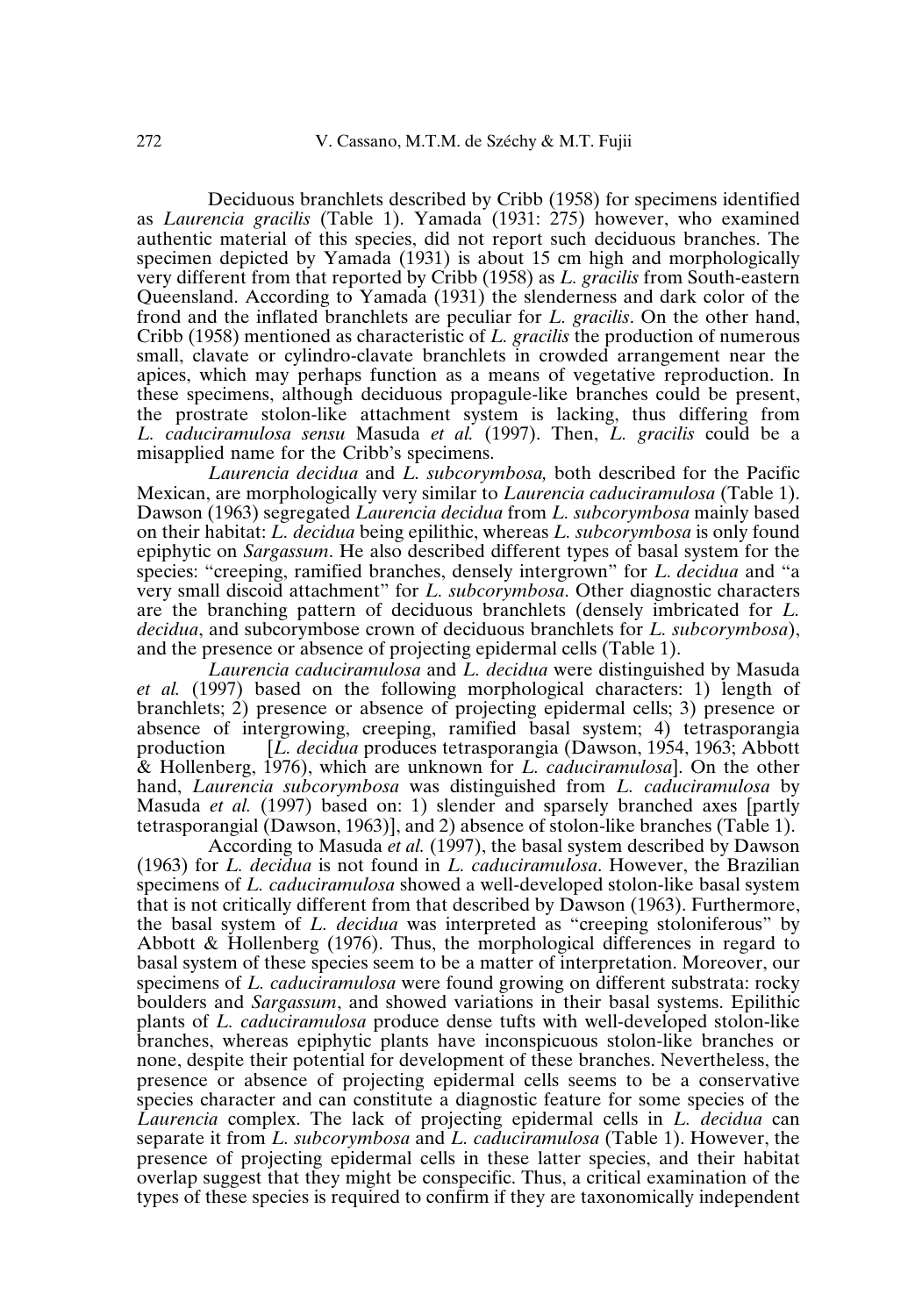Deciduous branchlets described by Cribb (1958) for specimens identified as *Laurencia gracilis* (Table 1). Yamada (1931: 275) however, who examined authentic material of this species, did not report such deciduous branches. The specimen depicted by Yamada (1931) is about 15 cm high and morphologically very different from that reported by Cribb (1958) as *L. gracilis* from South-eastern Queensland. According to Yamada (1931) the slenderness and dark color of the frond and the inflated branchlets are peculiar for *L. gracilis*. On the other hand, Cribb (1958) mentioned as characteristic of *L. gracilis* the production of numerous small, clavate or cylindro-clavate branchlets in crowded arrangement near the apices, which may perhaps function as a means of vegetative reproduction. In these specimens, although deciduous propagule-like branches could be present, the prostrate stolon-like attachment system is lacking, thus differing from *L. caduciramulosa sensu* Masuda *et al.* (1997). Then, *L. gracilis* could be a misapplied name for the Cribb's specimens.

*Laurencia decidua* and *L. subcorymbosa,* both described for the Pacific Mexican, are morphologically very similar to *Laurencia caduciramulosa* (Table 1). Dawson (1963) segregated *Laurencia decidua* from *L. subcorymbosa* mainly based on their habitat: *L. decidua* being epilithic, whereas *L. subcorymbosa* is only found epiphytic on *Sargassum*. He also described different types of basal system for the species: "creeping, ramified branches, densely intergrown" for *L. decidua* and "a very small discoid attachment" for *L. subcorymbosa*. Other diagnostic characters are the branching pattern of deciduous branchlets (densely imbricated for *L. decidua*, and subcorymbose crown of deciduous branchlets for *L. subcorymbosa*), and the presence or absence of projecting epidermal cells (Table 1).

*Laurencia caduciramulosa* and *L. decidua* were distinguished by Masuda *et al.* (1997) based on the following morphological characters: 1) length of branchlets; 2) presence or absence of projecting epidermal cells; 3) presence or absence of intergrowing, creeping, ramified basal system; 4) tetrasporangia<br>production [*L. decidua* produces tetrasporangia (Dawson, 1954, 1963; Abbott [*L. decidua* produces tetrasporangia (Dawson, 1954, 1963; Abbott & Hollenberg, 1976), which are unknown for *L. caduciramulosa*]. On the other hand, *Laurencia subcorymbosa* was distinguished from *L. caduciramulosa* by Masuda *et al.* (1997) based on: 1) slender and sparsely branched axes [partly tetrasporangial (Dawson, 1963)], and 2) absence of stolon-like branches (Table 1).

According to Masuda *et al.* (1997), the basal system described by Dawson (1963) for *L. decidua* is not found in *L. caduciramulosa*. However, the Brazilian specimens of *L. caduciramulosa* showed a well-developed stolon-like basal system that is not critically different from that described by Dawson (1963). Furthermore, the basal system of *L. decidua* was interpreted as "creeping stoloniferous" by Abbott & Hollenberg (1976). Thus, the morphological differences in regard to basal system of these species seem to be a matter of interpretation. Moreover, our specimens of *L. caduciramulosa* were found growing on different substrata: rocky boulders and *Sargassum*, and showed variations in their basal systems. Epilithic plants of *L. caduciramulosa* produce dense tufts with well-developed stolon-like branches, whereas epiphytic plants have inconspicuous stolon-like branches or none, despite their potential for development of these branches. Nevertheless, the presence or absence of projecting epidermal cells seems to be a conservative species character and can constitute a diagnostic feature for some species of the *Laurencia* complex. The lack of projecting epidermal cells in *L. decidua* can separate it from *L. subcorymbosa* and *L. caduciramulosa* (Table 1). However, the presence of projecting epidermal cells in these latter species, and their habitat overlap suggest that they might be conspecific. Thus, a critical examination of the types of these species is required to confirm if they are taxonomically independent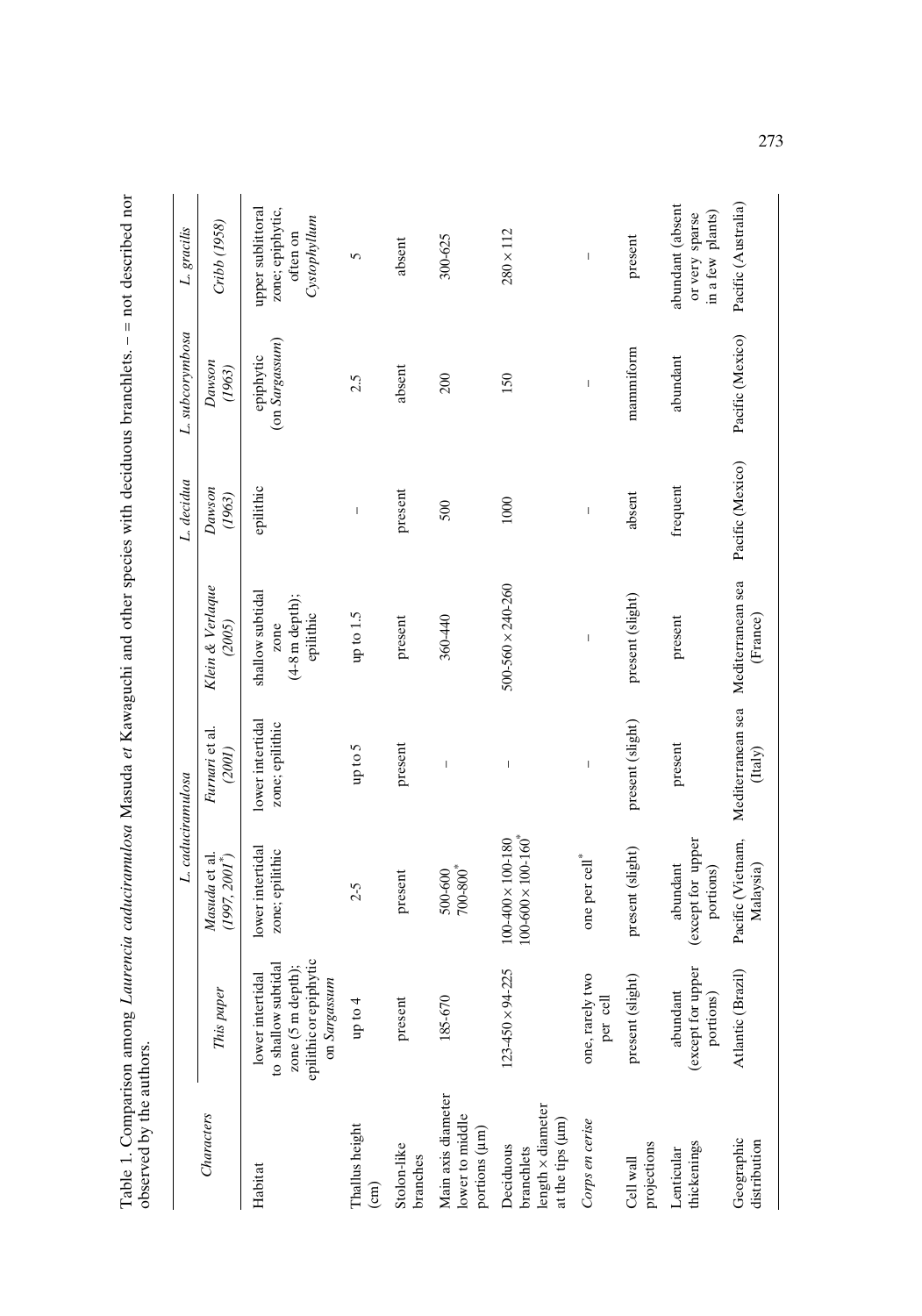|                                                                         |                                                                                                        | L. caduciramulosa                                                     |                                     |                                                                   | L. decidua                            | L. subcorymbosa                | L. gracilis                                                       |
|-------------------------------------------------------------------------|--------------------------------------------------------------------------------------------------------|-----------------------------------------------------------------------|-------------------------------------|-------------------------------------------------------------------|---------------------------------------|--------------------------------|-------------------------------------------------------------------|
| Characters                                                              | This paper                                                                                             | Masuda et al.<br>$(1997, 2001^*)$                                     | Furnari et al.<br>(2001)            | Klein & Verlaque<br>(2005)                                        | Dawson<br>(1963)                      | Dawson<br>$\left( 1963\right)$ | Cribb (1958)                                                      |
| Habitat                                                                 | epilithic or epiphytic<br>to shallow subtidal<br>zone (5 m depth);<br>lower intertidal<br>on Sargassum | lower intertidal<br>zone; epilithic                                   | lower intertidal<br>zone; epilithic | shallow subtidal<br>$(4-8 \text{ m depth});$<br>epilithic<br>zone | epilithic                             | (on Sargassum)<br>epiphytic    | upper sublittoral<br>zone; epiphytic,<br>Cystophyllum<br>often on |
| Thallus height<br>$\binom{cm}{ }$                                       | $\frac{4}{2}$<br>i qu                                                                                  | $2 - 5$                                                               | $\mu p$ to 5                        | up to $1.5\,$                                                     | $\begin{array}{c} \hline \end{array}$ | 2.5                            | 5                                                                 |
| Stolon-like<br>branches                                                 | present                                                                                                | present                                                               | present                             | present                                                           | present                               | absent                         | absent                                                            |
| Main axis diameter<br>lower to middle<br>portions (µm)                  | 185-670                                                                                                | $700 - 800^*$<br>500-600                                              | $\overline{\phantom{a}}$            | 360-440                                                           | 500                                   | 200                            | 300-625                                                           |
| $length \times diameter$<br>at the tips (µm)<br>Deciduous<br>branchlets | $\times$ 94-225<br>123-450                                                                             | $100 - 600 \times 100 - 160$ <sup>*</sup><br>$100-400 \times 100-180$ | $\mathsf I$                         | $500 - 560 \times 240 - 260$                                      | 1000                                  | 150                            | $280 \times 112$                                                  |
| Corps en cerise                                                         | one, rarely two<br>per cell                                                                            | one per cell*                                                         | $\overline{\phantom{a}}$            | $\overline{\phantom{a}}$                                          | $\overline{\phantom{a}}$              | $\overline{\phantom{a}}$       | $\overline{\phantom{a}}$                                          |
| projections<br>Cell wall                                                | $\left($ slight)<br>present                                                                            | present (slight)                                                      | present (slight)                    | present (slight)                                                  | absent                                | mammiform                      | present                                                           |
| thickenings<br>Lenticular                                               | (except for upper<br>abundant<br>portions)                                                             | (except for upper<br>abundant<br>portions)                            | present                             | present                                                           | frequent                              | abundant                       | abundant (absent<br>in a few plants)<br>or very sparse            |
| Geographic<br>distribution                                              | Atlantic (Brazil)                                                                                      | Pacific (Vietnam,<br>Malaysia)                                        | $($ Italy $)$                       | Mediterranean sea Mediterranean sea<br>(France)                   | Pacific (Mexico)                      | Pacific (Mexico)               | Pacific (Australia)                                               |

Table 1. Comparison among *Laurencia caduciramulosa* Masuda et Kawaguchi and other species with deciduous branchlets. - = not described nor Table 1. Comparison among *Laurencia caduciramulosa* Masuda *et* Kawaguchi and other species with deciduous branchlets.–=not described nor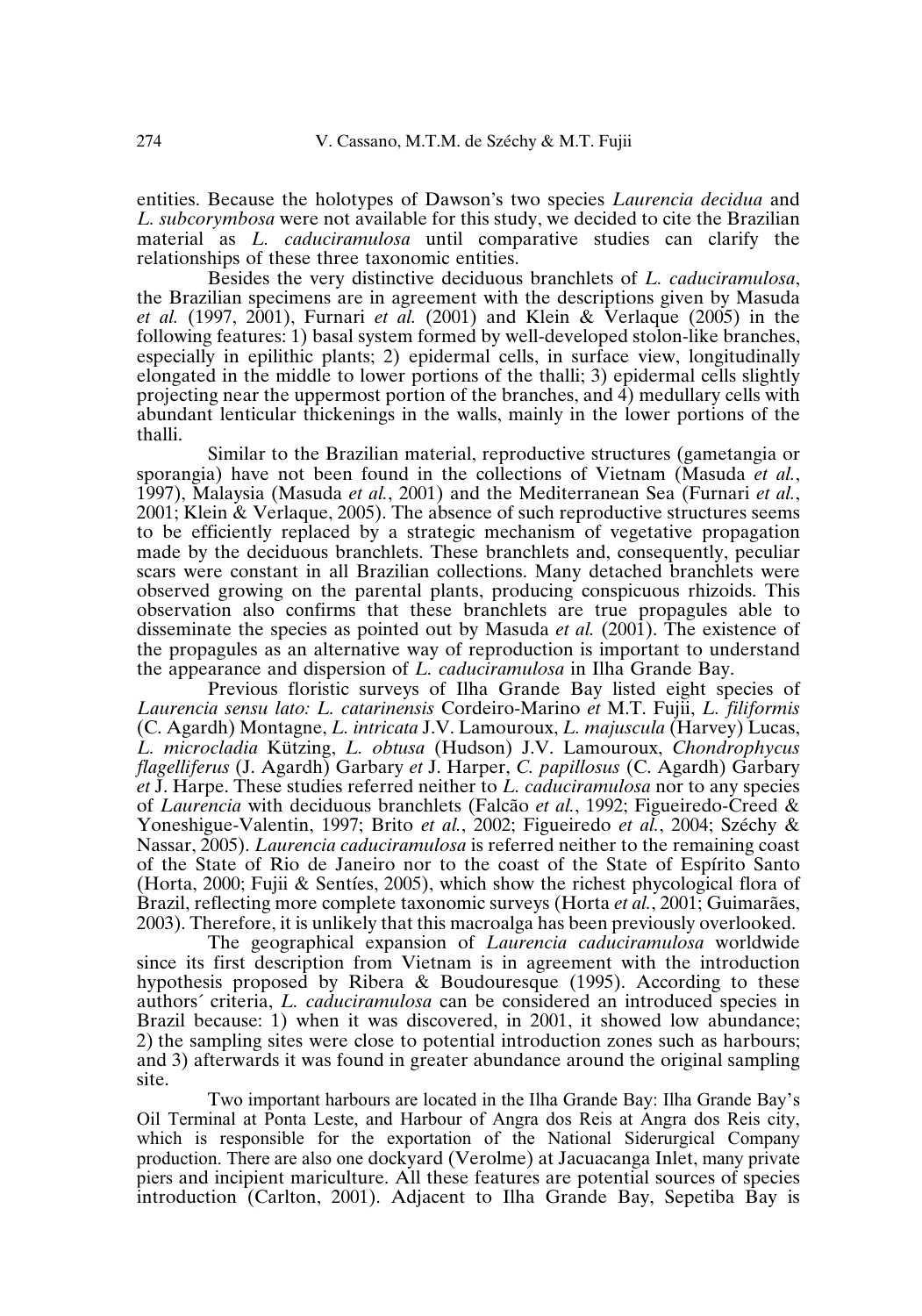entities. Because the holotypes of Dawson's two species *Laurencia decidua* and *L. subcorymbosa* were not available for this study, we decided to cite the Brazilian material as *L. caduciramulosa* until comparative studies can clarify the relationships of these three taxonomic entities.

Besides the very distinctive deciduous branchlets of *L. caduciramulosa*, the Brazilian specimens are in agreement with the descriptions given by Masuda *et al.* (1997, 2001), Furnari *et al.* (2001) and Klein & Verlaque (2005) in the following features: 1) basal system formed by well-developed stolon-like branches, especially in epilithic plants; 2) epidermal cells, in surface view, longitudinally elongated in the middle to lower portions of the thalli; 3) epidermal cells slightly projecting near the uppermost portion of the branches, and 4) medullary cells with abundant lenticular thickenings in the walls, mainly in the lower portions of the thalli.

Similar to the Brazilian material, reproductive structures (gametangia or sporangia) have not been found in the collections of Vietnam (Masuda *et al.*, 1997), Malaysia (Masuda *et al.*, 2001) and the Mediterranean Sea (Furnari *et al.*, 2001; Klein & Verlaque, 2005). The absence of such reproductive structures seems to be efficiently replaced by a strategic mechanism of vegetative propagation made by the deciduous branchlets. These branchlets and, consequently, peculiar scars were constant in all Brazilian collections. Many detached branchlets were observed growing on the parental plants, producing conspicuous rhizoids. This observation also confirms that these branchlets are true propagules able to disseminate the species as pointed out by Masuda *et al.* (2001). The existence of the propagules as an alternative way of reproduction is important to understand the appearance and dispersion of *L. caduciramulosa* in Ilha Grande Bay.

Previous floristic surveys of Ilha Grande Bay listed eight species of *Laurencia sensu lato: L. catarinensis* Cordeiro-Marino *et* M.T. Fujii, *L. filiformis* (C. Agardh) Montagne, *L. intricata* J.V. Lamouroux, *L. majuscula* (Harvey) Lucas, *L. microcladia* Kützing, *L. obtusa* (Hudson) J.V. Lamouroux, *Chondrophycus flagelliferus* (J. Agardh) Garbary *et* J. Harper, *C. papillosus* (C. Agardh) Garbary *et* J. Harpe. These studies referred neither to *L. caduciramulosa* nor to any species of *Laurencia* with deciduous branchlets (Falcão *et al.*, 1992; Figueiredo-Creed & Yoneshigue-Valentin, 1997; Brito *et al.*, 2002; Figueiredo *et al.*, 2004; Széchy & Nassar, 2005). *Laurencia caduciramulosa* is referred neither to the remaining coast of the State of Rio de Janeiro nor to the coast of the State of Espírito Santo (Horta, 2000; Fujii & Sentíes, 2005), which show the richest phycological flora of Brazil, reflecting more complete taxonomic surveys (Horta *et al.*, 2001; Guimarães, 2003). Therefore, it is unlikely that this macroalga has been previously overlooked.

The geographical expansion of *Laurencia caduciramulosa* worldwide since its first description from Vietnam is in agreement with the introduction hypothesis proposed by Ribera & Boudouresque (1995). According to these authors´ criteria, *L. caduciramulosa* can be considered an introduced species in Brazil because: 1) when it was discovered, in 2001, it showed low abundance; 2) the sampling sites were close to potential introduction zones such as harbours; and 3) afterwards it was found in greater abundance around the original sampling site.

Two important harbours are located in the Ilha Grande Bay: Ilha Grande Bay's Oil Terminal at Ponta Leste, and Harbour of Angra dos Reis at Angra dos Reis city, which is responsible for the exportation of the National Siderurgical Company production. There are also one dockyard (Verolme) at Jacuacanga Inlet, many private piers and incipient mariculture. All these features are potential sources of species introduction (Carlton, 2001). Adjacent to Ilha Grande Bay, Sepetiba Bay is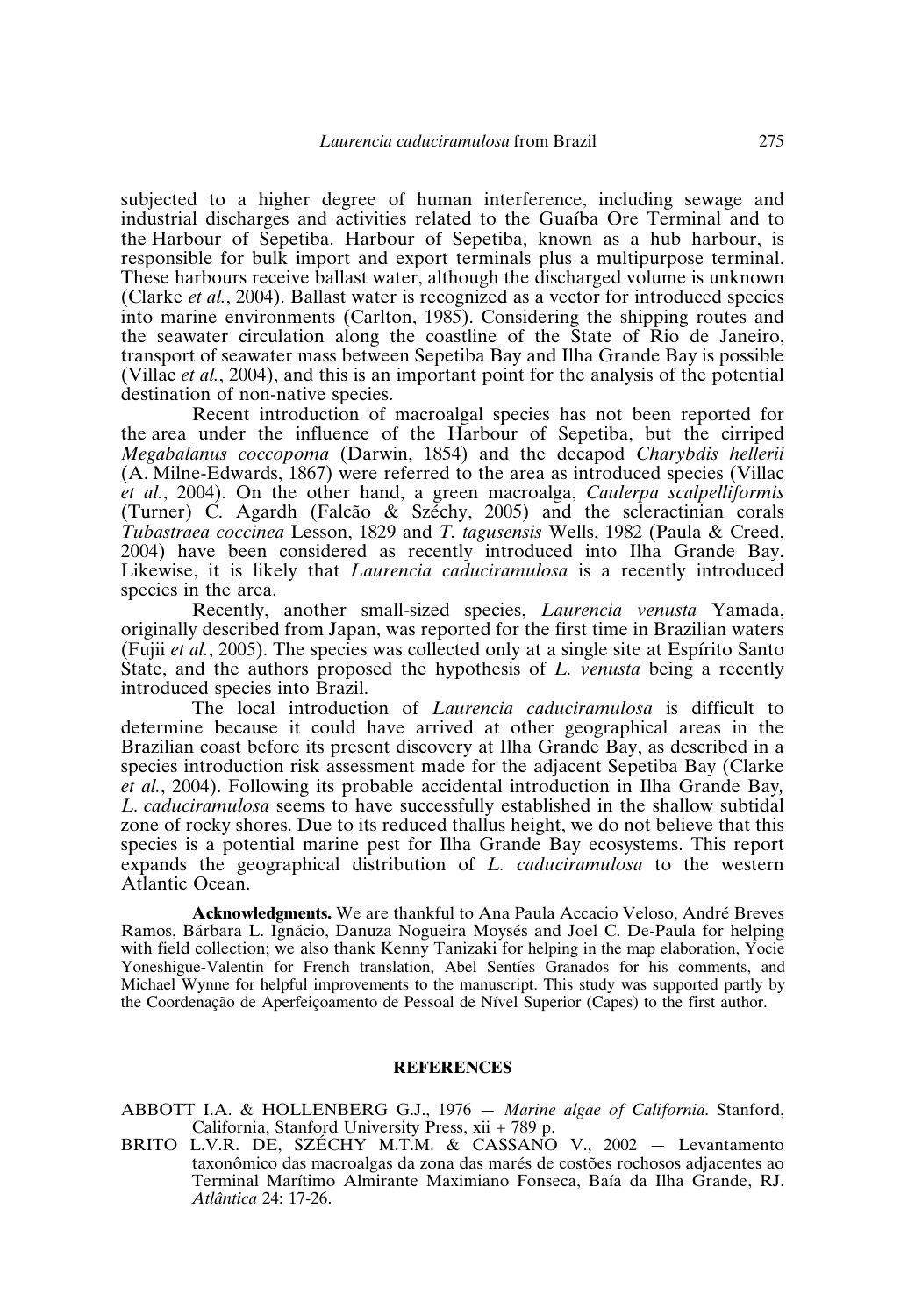subjected to a higher degree of human interference, including sewage and industrial discharges and activities related to the Guaíba Ore Terminal and to the Harbour of Sepetiba. Harbour of Sepetiba, known as a hub harbour, is responsible for bulk import and export terminals plus a multipurpose terminal. These harbours receive ballast water, although the discharged volume is unknown (Clarke *et al.*, 2004). Ballast water is recognized as a vector for introduced species into marine environments (Carlton, 1985). Considering the shipping routes and the seawater circulation along the coastline of the State of Rio de Janeiro, transport of seawater mass between Sepetiba Bay and Ilha Grande Bay is possible (Villac *et al.*, 2004), and this is an important point for the analysis of the potential destination of non-native species.

Recent introduction of macroalgal species has not been reported for the area under the influence of the Harbour of Sepetiba, but the cirriped *Megabalanus coccopoma* (Darwin, 1854) and the decapod *Charybdis hellerii* (A. Milne-Edwards, 1867) were referred to the area as introduced species (Villac *et al.*, 2004). On the other hand, a green macroalga, *Caulerpa scalpelliformis* (Turner) C. Agardh (Falcão & Széchy, 2005) and the scleractinian corals *Tubastraea coccinea* Lesson, 1829 and *T. tagusensis* Wells, 1982 (Paula&Creed, 2004) have been considered as recently introduced into Ilha Grande Bay. Likewise, it is likely that *Laurencia caduciramulosa* is a recently introduced species in the area.

Recently, another small-sized species, *Laurencia venusta* Yamada, originally described from Japan, was reported for the first time in Brazilian waters (Fujii *et al.*, 2005). The species was collected only at a single site at Espírito Santo State, and the authors proposed the hypothesis of *L. venusta* being a recently introduced species into Brazil.

The local introduction of *Laurencia caduciramulosa* is difficult to determine because it could have arrived at other geographical areas in the Brazilian coast before its present discovery at Ilha Grande Bay, as described in a species introduction risk assessment made for the adjacent Sepetiba Bay (Clarke *et al.*, 2004). Following its probable accidental introduction in Ilha Grande Bay*, L. caduciramulosa* seems to have successfully established in the shallow subtidal zone of rocky shores. Due to its reduced thallus height, we do not believe that this species is a potential marine pest for Ilha Grande Bay ecosystems. This report expands the geographical distribution of *L. caduciramulosa* to the western Atlantic Ocean.

**Acknowledgments.** We are thankful to Ana Paula Accacio Veloso, André Breves Ramos, Bárbara L. Ignácio, Danuza Nogueira Moysés and Joel C. De-Paula for helping with field collection; we also thank Kenny Tanizaki for helping in the map elaboration, Yocie Yoneshigue-Valentin for French translation, Abel Sentíes Granados for his comments, and Michael Wynne for helpful improvements to the manuscript. This study was supported partly by the Coordenação de Aperfeiçoamento de Pessoal de Nível Superior (Capes) to the first author.

# **REFERENCES**

ABBOTT I.A. & HOLLENBERG G.J., 1976 — *Marine algae of California*. Stanford, California, Stanford University Press, xii + 789 p.

BRITO L.V.R. DE, SZÉCHY M.T.M. & CASSANO V., 2002 — Levantamento taxonômico das macroalgas da zona das marés de costões rochosos adjacentes ao Terminal Marítimo Almirante Maximiano Fonseca, Baía da Ilha Grande, RJ. *Atlântica* 24: 17-26.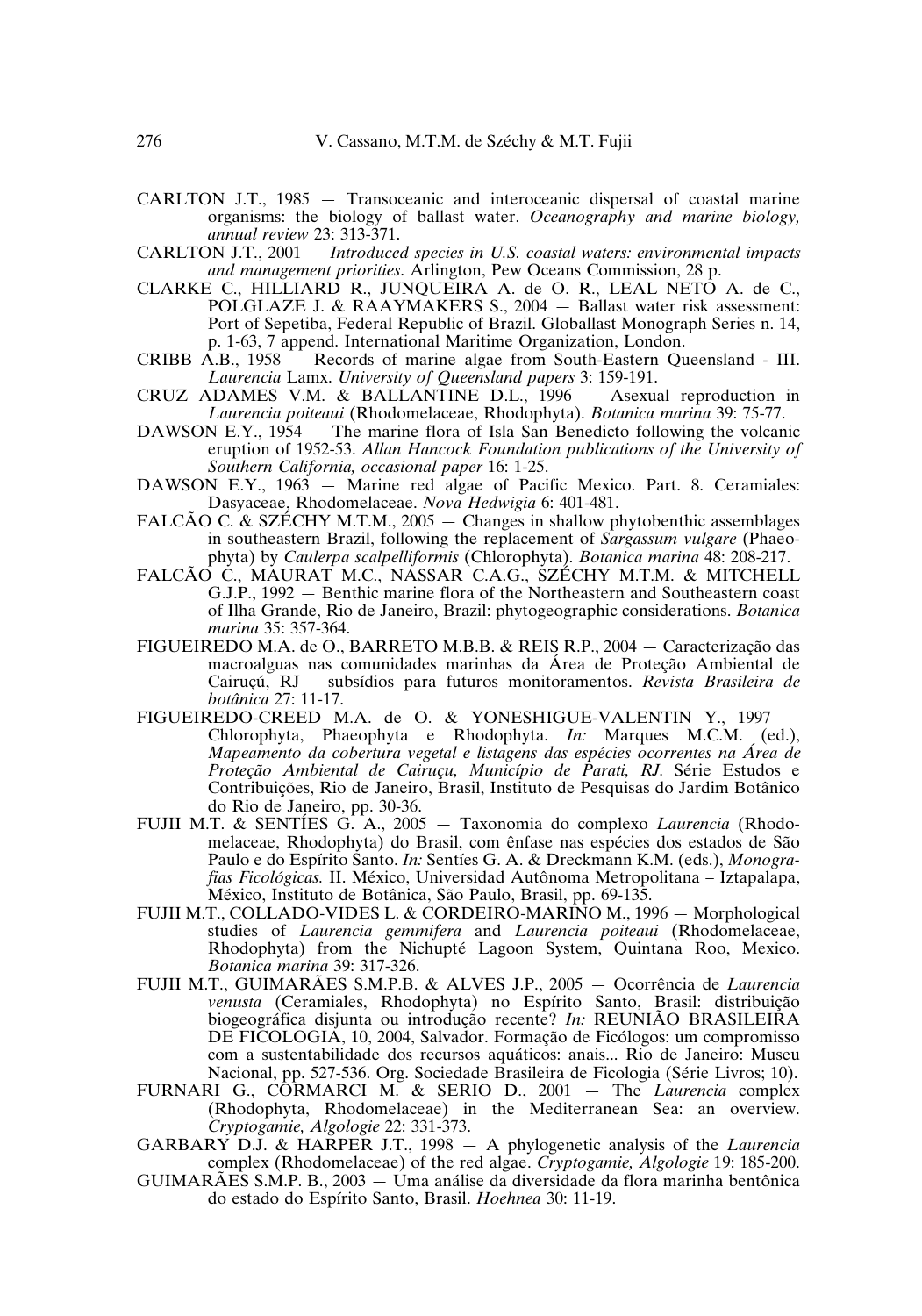- CARLTON J.T., 1985 Transoceanic and interoceanic dispersal of coastal marine organisms: the biology of ballast water. *Oceanography and marine biology, annual review* 23: 313-371.
- CARLTON J.T., 2001 *Introduced species in U.S. coastal waters: environmental impacts and management priorities*. Arlington, Pew Oceans Commission, 28 p.
- CLARKE C., HILLIARD R., JUNQUEIRA A. de O. R., LEAL NETO A. de C., POLGLAZE J. & RAAYMAKERS S., 2004 — Ballast water risk assessment: Port of Sepetiba, Federal Republic of Brazil. Globallast Monograph Series n. 14, p. 1-63, 7 append. International Maritime Organization, London.
- CRIBB A.B., 1958 Records of marine algae from South-Eastern Queensland III. *Laurencia* Lamx. *University of Queensland papers* 3: 159-191.
- CRUZ ADAMES V.M. & BALLANTINE D.L., 1996 Asexual reproduction in *Laurencia poiteaui* (Rhodomelaceae, Rhodophyta). *Botanica marina* 39: 75-77.
- DAWSON E.Y., 1954 The marine flora of Isla San Benedicto following the volcanic eruption of 1952-53. *Allan Hancock Foundation publications of the University of Southern California, occasional paper* 16: 1-25.
- DAWSON E.Y., 1963 Marine red algae of Pacific Mexico. Part. 8. Ceramiales: Dasyaceae, Rhodomelaceae. *Nova Hedwigia* 6: 401-481.
- FALCÃO C. & SZÉCHY M.T.M., 2005 Changes in shallow phytobenthic assemblages in southeastern Brazil, following the replacement of *Sargassum vulgare* (Phaeophyta) by *Caulerpa scalpelliformis* (Chlorophyta). *Botanica marina* 48: 208-217.
- FALCÃO C., MAURAT M.C., NASSAR C.A.G., SZÉCHY M.T.M. & MITCHELL G.J.P., 1992 — Benthic marine flora of the Northeastern and Southeastern coast of Ilha Grande, Rio de Janeiro, Brazil: phytogeographic considerations. *Botanica marina* 35: 357-364.
- FIGUEIREDO M.A. de O., BARRETO M.B.B. & REIS R.P., 2004 Caracterização das macroalguas nas comunidades marinhas da Área de Proteção Ambiental de Cairuçú, RJ – subsídios para futuros monitoramentos. *Revista Brasileira de botânica* 27: 11-17.
- FIGUEIREDO-CREED M.A. de O. & YONESHIGUE-VALENTIN Y., 1997 Chlorophyta, Phaeophyta e Rhodophyta. *In:* Marques M.C.M. (ed.), *Mapeamento da cobertura vegetalelistagens das espécies ocorrentes na Área de Proteção Ambiental de Cairuçu, Município de Parati, RJ.* Série Estudos e Contribuições, Rio de Janeiro, Brasil, Instituto de Pesquisas do Jardim Botânico do Rio de Janeiro, pp. 30-36.
- FUJII M.T. & SENTÍES G. A., 2005 Taxonomia do complexo *Laurencia* (Rhodomelaceae, Rhodophyta) do Brasil, com ênfase nas espécies dos estados de São Paulo e do Espírito Santo. *In:* Sentíes G. A. & Dreckmann K.M. (eds.), *Monografias Ficológicas.* II. México, Universidad Autônoma Metropolitana – Iztapalapa, México, Instituto de Botânica, São Paulo, Brasil, pp. 69-135.
- FUJII M.T., COLLADO-VIDES L. & CORDEIRO-MARINO M., 1996 Morphological studies of *Laurencia gemmifera* and *Laurencia poiteaui* (Rhodomelaceae, Rhodophyta) from the Nichupté Lagoon System, Quintana Roo, Mexico. *Botanica marina* 39: 317-326.
- FUJII M.T., GUIMARÃES S.M.P.B. & ALVES J.P., 2005 Ocorrência de *Laurencia venusta* (Ceramiales, Rhodophyta) no Espírito Santo, Brasil: distribuição biogeográfica disjunta ou introdução recente? *In:* REUNIÃO BRASILEIRA DE FICOLOGIA, 10, 2004, Salvador. Formação de Ficólogos: um compromisso com a sustentabilidade dos recursos aquáticos: anais... Rio de Janeiro: Museu Nacional, pp. 527-536. Org. Sociedade Brasileira de Ficologia (Série Livros; 10).
- FURNARI G., CORMARCI M. & SERIO D., 2001 The *Laurencia* complex (Rhodophyta, Rhodomelaceae) in the Mediterranean Sea: an overview. *Cryptogamie, Algologie* 22: 331-373.
- GARBARY D.J. & HARPER J.T., 1998 A phylogenetic analysis of the *Laurencia* complex (Rhodomelaceae) of the red algae. *Cryptogamie, Algologie* 19: 185-200.
- GUIMARÃES S.M.P. B., 2003 Uma análise da diversidade da flora marinha bentônica do estado do Espírito Santo, Brasil. *Hoehnea* 30: 11-19.